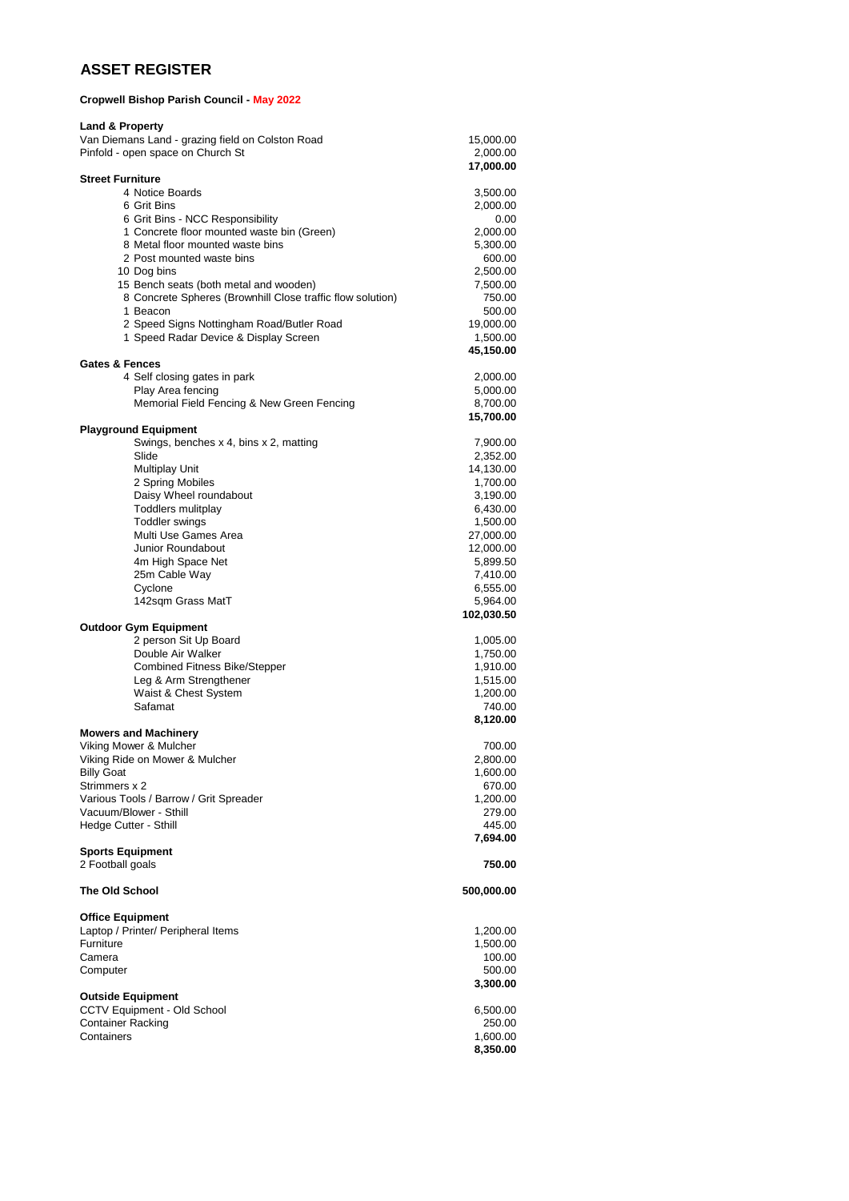## **ASSET REGISTER**

## **Cropwell Bishop Parish Council - May 2022**

| <b>Land &amp; Property</b><br>Van Diemans Land - grazing field on Colston Road | 15,000.00             |
|--------------------------------------------------------------------------------|-----------------------|
| Pinfold - open space on Church St                                              | 2,000.00<br>17,000.00 |
| <b>Street Furniture</b>                                                        |                       |
| 4 Notice Boards<br>6 Grit Bins                                                 | 3,500.00              |
| 6 Grit Bins - NCC Responsibility                                               | 2,000.00<br>0.00      |
| 1 Concrete floor mounted waste bin (Green)                                     | 2,000.00              |
| 8 Metal floor mounted waste bins                                               | 5,300.00              |
| 2 Post mounted waste bins                                                      | 600.00                |
| 10 Dog bins                                                                    | 2,500.00              |
| 15 Bench seats (both metal and wooden)                                         | 7,500.00              |
| 8 Concrete Spheres (Brownhill Close traffic flow solution)<br>1 Beacon         | 750.00                |
| 2 Speed Signs Nottingham Road/Butler Road                                      | 500.00<br>19,000.00   |
| 1 Speed Radar Device & Display Screen                                          | 1,500.00              |
|                                                                                | 45,150.00             |
| <b>Gates &amp; Fences</b>                                                      |                       |
| 4 Self closing gates in park                                                   | 2,000.00              |
| Play Area fencing<br>Memorial Field Fencing & New Green Fencing                | 5,000.00<br>8,700.00  |
|                                                                                | 15,700.00             |
| <b>Playground Equipment</b>                                                    |                       |
| Swings, benches x 4, bins x 2, matting<br>Slide                                | 7,900.00              |
| Multiplay Unit                                                                 | 2,352.00<br>14,130.00 |
| 2 Spring Mobiles                                                               | 1,700.00              |
| Daisy Wheel roundabout                                                         | 3,190.00              |
| <b>Toddlers mulitplay</b>                                                      | 6,430.00              |
| <b>Toddler swings</b>                                                          | 1,500.00              |
| Multi Use Games Area                                                           | 27,000.00             |
| Junior Roundabout                                                              | 12,000.00             |
| 4m High Space Net<br>25m Cable Way                                             | 5,899.50<br>7,410.00  |
| Cyclone                                                                        | 6,555.00              |
| 142sqm Grass MatT                                                              | 5,964.00              |
|                                                                                | 102,030.50            |
| <b>Outdoor Gym Equipment</b>                                                   |                       |
| 2 person Sit Up Board                                                          | 1,005.00              |
| Double Air Walker<br><b>Combined Fitness Bike/Stepper</b>                      | 1,750.00<br>1,910.00  |
| Leg & Arm Strengthener                                                         | 1,515.00              |
| Waist & Chest System                                                           | 1,200.00              |
| Safamat                                                                        | 740.00                |
|                                                                                | 8,120.00              |
| <b>Mowers and Machinery</b><br>Viking Mower & Mulcher                          |                       |
| Viking Ride on Mower & Mulcher                                                 | 700.00<br>2,800.00    |
| <b>Billy Goat</b>                                                              | 1,600.00              |
| Strimmers x 2                                                                  | 670.00                |
| Various Tools / Barrow / Grit Spreader                                         | 1,200.00              |
| Vacuum/Blower - Sthill                                                         | 279.00                |
| Hedge Cutter - Sthill                                                          | 445.00                |
| <b>Sports Equipment</b>                                                        | 7,694.00              |
| 2 Football goals                                                               | 750.00                |
| <b>The Old School</b>                                                          | 500,000.00            |
| <b>Office Equipment</b>                                                        |                       |
| Laptop / Printer/ Peripheral Items                                             | 1,200.00              |
| Furniture                                                                      | 1,500.00              |
| Camera                                                                         | 100.00                |
| Computer                                                                       | 500.00                |
|                                                                                | 3,300.00              |
| <b>Outside Equipment</b><br>CCTV Equipment - Old School                        |                       |
|                                                                                |                       |
| <b>Container Racking</b>                                                       | 6,500.00<br>250.00    |
| Containers                                                                     | 1,600.00              |